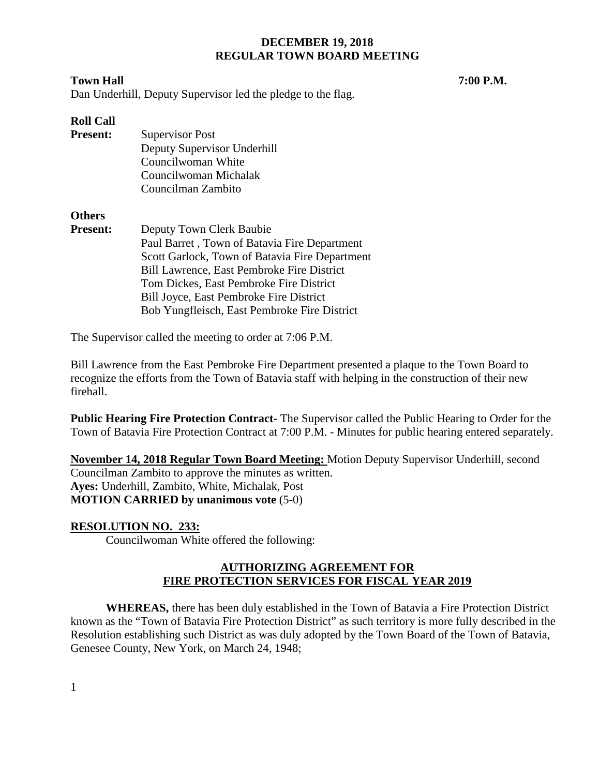Dan Underhill, Deputy Supervisor led the pledge to the flag.

## **Roll Call**

| <b>Present:</b> | Supervisor Post             |  |
|-----------------|-----------------------------|--|
|                 | Deputy Supervisor Underhill |  |
|                 | Councilwoman White          |  |
|                 | Councilwoman Michalak       |  |
|                 | Councilman Zambito          |  |

## **Others**

| <b>Present:</b> | Deputy Town Clerk Baubie                          |
|-----------------|---------------------------------------------------|
|                 | Paul Barret, Town of Batavia Fire Department      |
|                 | Scott Garlock, Town of Batavia Fire Department    |
|                 | <b>Bill Lawrence, East Pembroke Fire District</b> |
|                 | Tom Dickes, East Pembroke Fire District           |
|                 | Bill Joyce, East Pembroke Fire District           |
|                 | Bob Yungfleisch, East Pembroke Fire District      |

The Supervisor called the meeting to order at 7:06 P.M.

Bill Lawrence from the East Pembroke Fire Department presented a plaque to the Town Board to recognize the efforts from the Town of Batavia staff with helping in the construction of their new firehall.

**Public Hearing Fire Protection Contract-** The Supervisor called the Public Hearing to Order for the Town of Batavia Fire Protection Contract at 7:00 P.M. - Minutes for public hearing entered separately.

**November 14, 2018 Regular Town Board Meeting:** Motion Deputy Supervisor Underhill, second Councilman Zambito to approve the minutes as written. **Ayes:** Underhill, Zambito, White, Michalak, Post **MOTION CARRIED by unanimous vote** (5-0)

# **RESOLUTION NO. 233:**

Councilwoman White offered the following:

# **AUTHORIZING AGREEMENT FOR FIRE PROTECTION SERVICES FOR FISCAL YEAR 2019**

**WHEREAS,** there has been duly established in the Town of Batavia a Fire Protection District known as the "Town of Batavia Fire Protection District" as such territory is more fully described in the Resolution establishing such District as was duly adopted by the Town Board of the Town of Batavia, Genesee County, New York, on March 24, 1948;

1

**Town Hall 7:00 P.M.**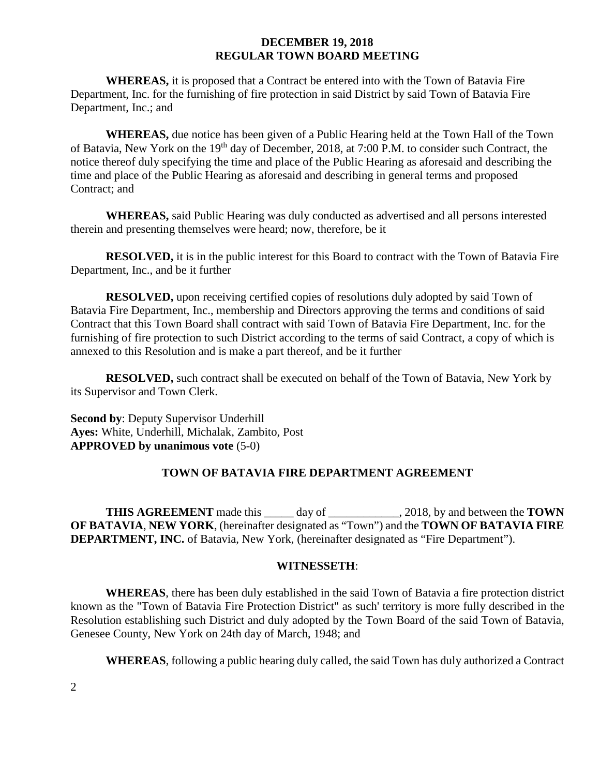**WHEREAS,** it is proposed that a Contract be entered into with the Town of Batavia Fire Department, Inc. for the furnishing of fire protection in said District by said Town of Batavia Fire Department, Inc.; and

**WHEREAS,** due notice has been given of a Public Hearing held at the Town Hall of the Town of Batavia, New York on the 19<sup>th</sup> day of December, 2018, at 7:00 P.M. to consider such Contract, the notice thereof duly specifying the time and place of the Public Hearing as aforesaid and describing the time and place of the Public Hearing as aforesaid and describing in general terms and proposed Contract; and

**WHEREAS,** said Public Hearing was duly conducted as advertised and all persons interested therein and presenting themselves were heard; now, therefore, be it

**RESOLVED,** it is in the public interest for this Board to contract with the Town of Batavia Fire Department, Inc., and be it further

**RESOLVED,** upon receiving certified copies of resolutions duly adopted by said Town of Batavia Fire Department, Inc., membership and Directors approving the terms and conditions of said Contract that this Town Board shall contract with said Town of Batavia Fire Department, Inc. for the furnishing of fire protection to such District according to the terms of said Contract, a copy of which is annexed to this Resolution and is make a part thereof, and be it further

**RESOLVED,** such contract shall be executed on behalf of the Town of Batavia, New York by its Supervisor and Town Clerk.

**Second by**: Deputy Supervisor Underhill **Ayes:** White, Underhill, Michalak, Zambito, Post **APPROVED by unanimous vote** (5-0)

## **TOWN OF BATAVIA FIRE DEPARTMENT AGREEMENT**

**THIS AGREEMENT** made this \_\_\_\_\_ day of \_\_\_\_\_\_\_\_\_\_\_\_, 2018*,* by and between the **TOWN OF BATAVIA**, **NEW YORK**, (hereinafter designated as "Town") and the **TOWN OF BATAVIA FIRE DEPARTMENT, INC.** of Batavia, New York, (hereinafter designated as "Fire Department").

#### **WITNESSETH**:

**WHEREAS**, there has been duly established in the said Town of Batavia a fire protection district known as the "Town of Batavia Fire Protection District" as such' territory is more fully described in the Resolution establishing such District and duly adopted by the Town Board of the said Town of Batavia, Genesee County, New York on 24th day of March, 1948; and

**WHEREAS**, following a public hearing duly called, the said Town has duly authorized a Contract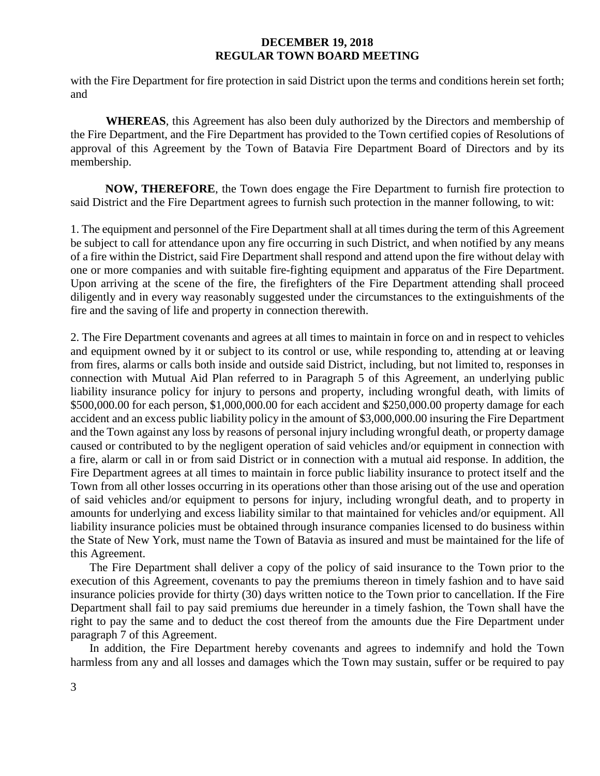with the Fire Department for fire protection in said District upon the terms and conditions herein set forth; and

**WHEREAS**, this Agreement has also been duly authorized by the Directors and membership of the Fire Department, and the Fire Department has provided to the Town certified copies of Resolutions of approval of this Agreement by the Town of Batavia Fire Department Board of Directors and by its membership.

**NOW, THEREFORE**, the Town does engage the Fire Department to furnish fire protection to said District and the Fire Department agrees to furnish such protection in the manner following, to wit:

1. The equipment and personnel of the Fire Department shall at all times during the term of this Agreement be subject to call for attendance upon any fire occurring in such District, and when notified by any means of a fire within the District, said Fire Department shall respond and attend upon the fire without delay with one or more companies and with suitable fire-fighting equipment and apparatus of the Fire Department. Upon arriving at the scene of the fire, the firefighters of the Fire Department attending shall proceed diligently and in every way reasonably suggested under the circumstances to the extinguishments of the fire and the saving of life and property in connection therewith.

2. The Fire Department covenants and agrees at all times to maintain in force on and in respect to vehicles and equipment owned by it or subject to its control or use, while responding to, attending at or leaving from fires, alarms or calls both inside and outside said District, including, but not limited to, responses in connection with Mutual Aid Plan referred to in Paragraph 5 of this Agreement, an underlying public liability insurance policy for injury to persons and property, including wrongful death, with limits of \$500,000.00 for each person, \$1,000,000.00 for each accident and \$250,000.00 property damage for each accident and an excess public liability policy in the amount of \$3,000,000.00 insuring the Fire Department and the Town against any loss by reasons of personal injury including wrongful death, or property damage caused or contributed to by the negligent operation of said vehicles and/or equipment in connection with a fire, alarm or call in or from said District or in connection with a mutual aid response. In addition, the Fire Department agrees at all times to maintain in force public liability insurance to protect itself and the Town from all other losses occurring in its operations other than those arising out of the use and operation of said vehicles and/or equipment to persons for injury, including wrongful death, and to property in amounts for underlying and excess liability similar to that maintained for vehicles and/or equipment. All liability insurance policies must be obtained through insurance companies licensed to do business within the State of New York, must name the Town of Batavia as insured and must be maintained for the life of this Agreement.

The Fire Department shall deliver a copy of the policy of said insurance to the Town prior to the execution of this Agreement, covenants to pay the premiums thereon in timely fashion and to have said insurance policies provide for thirty (30) days written notice to the Town prior to cancellation. If the Fire Department shall fail to pay said premiums due hereunder in a timely fashion, the Town shall have the right to pay the same and to deduct the cost thereof from the amounts due the Fire Department under paragraph 7 of this Agreement.

In addition, the Fire Department hereby covenants and agrees to indemnify and hold the Town harmless from any and all losses and damages which the Town may sustain, suffer or be required to pay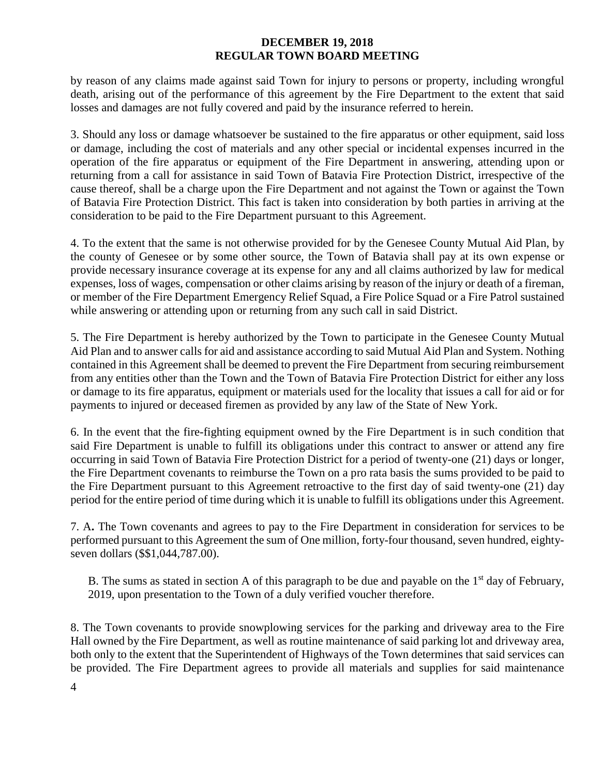by reason of any claims made against said Town for injury to persons or property, including wrongful death, arising out of the performance of this agreement by the Fire Department to the extent that said losses and damages are not fully covered and paid by the insurance referred to herein.

3. Should any loss or damage whatsoever be sustained to the fire apparatus or other equipment, said loss or damage, including the cost of materials and any other special or incidental expenses incurred in the operation of the fire apparatus or equipment of the Fire Department in answering, attending upon or returning from a call for assistance in said Town of Batavia Fire Protection District, irrespective of the cause thereof, shall be a charge upon the Fire Department and not against the Town or against the Town of Batavia Fire Protection District. This fact is taken into consideration by both parties in arriving at the consideration to be paid to the Fire Department pursuant to this Agreement.

4. To the extent that the same is not otherwise provided for by the Genesee County Mutual Aid Plan, by the county of Genesee or by some other source, the Town of Batavia shall pay at its own expense or provide necessary insurance coverage at its expense for any and all claims authorized by law for medical expenses, loss of wages, compensation or other claims arising by reason of the injury or death of a fireman, or member of the Fire Department Emergency Relief Squad, a Fire Police Squad or a Fire Patrol sustained while answering or attending upon or returning from any such call in said District.

5. The Fire Department is hereby authorized by the Town to participate in the Genesee County Mutual Aid Plan and to answer calls for aid and assistance according to said Mutual Aid Plan and System. Nothing contained in this Agreement shall be deemed to prevent the Fire Department from securing reimbursement from any entities other than the Town and the Town of Batavia Fire Protection District for either any loss or damage to its fire apparatus, equipment or materials used for the locality that issues a call for aid or for payments to injured or deceased firemen as provided by any law of the State of New York.

6. In the event that the fire-fighting equipment owned by the Fire Department is in such condition that said Fire Department is unable to fulfill its obligations under this contract to answer or attend any fire occurring in said Town of Batavia Fire Protection District for a period of twenty-one (21) days or longer, the Fire Department covenants to reimburse the Town on a pro rata basis the sums provided to be paid to the Fire Department pursuant to this Agreement retroactive to the first day of said twenty-one (21) day period for the entire period of time during which it is unable to fulfill its obligations under this Agreement.

7. A**.** The Town covenants and agrees to pay to the Fire Department in consideration for services to be performed pursuant to this Agreement the sum of One million, forty-four thousand, seven hundred, eightyseven dollars (\$\$1,044,787.00).

B. The sums as stated in section A of this paragraph to be due and payable on the  $1<sup>st</sup>$  day of February, 2019, upon presentation to the Town of a duly verified voucher therefore.

8. The Town covenants to provide snowplowing services for the parking and driveway area to the Fire Hall owned by the Fire Department, as well as routine maintenance of said parking lot and driveway area, both only to the extent that the Superintendent of Highways of the Town determines that said services can be provided. The Fire Department agrees to provide all materials and supplies for said maintenance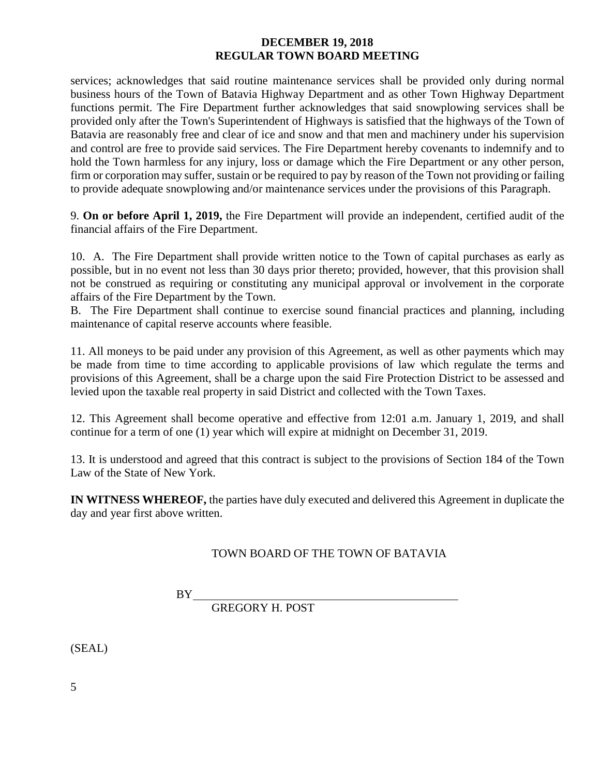services; acknowledges that said routine maintenance services shall be provided only during normal business hours of the Town of Batavia Highway Department and as other Town Highway Department functions permit. The Fire Department further acknowledges that said snowplowing services shall be provided only after the Town's Superintendent of Highways is satisfied that the highways of the Town of Batavia are reasonably free and clear of ice and snow and that men and machinery under his supervision and control are free to provide said services. The Fire Department hereby covenants to indemnify and to hold the Town harmless for any injury, loss or damage which the Fire Department or any other person, firm or corporation may suffer, sustain or be required to pay by reason of the Town not providing or failing to provide adequate snowplowing and/or maintenance services under the provisions of this Paragraph.

9. **On or before April 1, 2019,** the Fire Department will provide an independent, certified audit of the financial affairs of the Fire Department.

10. A. The Fire Department shall provide written notice to the Town of capital purchases as early as possible, but in no event not less than 30 days prior thereto; provided, however, that this provision shall not be construed as requiring or constituting any municipal approval or involvement in the corporate affairs of the Fire Department by the Town.

B. The Fire Department shall continue to exercise sound financial practices and planning, including maintenance of capital reserve accounts where feasible.

11. All moneys to be paid under any provision of this Agreement, as well as other payments which may be made from time to time according to applicable provisions of law which regulate the terms and provisions of this Agreement, shall be a charge upon the said Fire Protection District to be assessed and levied upon the taxable real property in said District and collected with the Town Taxes.

12. This Agreement shall become operative and effective from 12:01 a.m. January 1, 2019, and shall continue for a term of one (1) year which will expire at midnight on December 31, 2019.

13. It is understood and agreed that this contract is subject to the provisions of Section 184 of the Town Law of the State of New York.

**IN WITNESS WHEREOF,** the parties have duly executed and delivered this Agreement in duplicate the day and year first above written.

# TOWN BOARD OF THE TOWN OF BATAVIA

BY

GREGORY H. POST

(SEAL)

5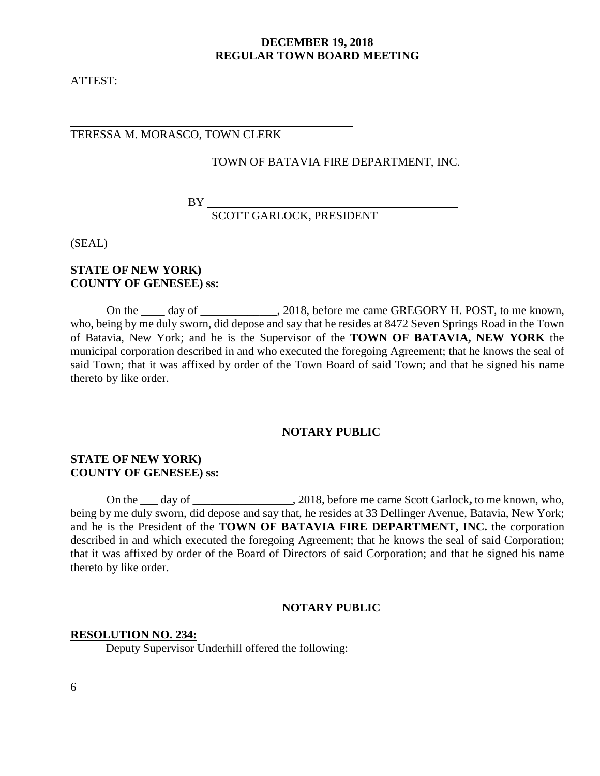ATTEST:

### TERESSA M. MORASCO, TOWN CLERK

#### TOWN OF BATAVIA FIRE DEPARTMENT, INC.

BY

SCOTT GARLOCK, PRESIDENT

(SEAL)

#### **STATE OF NEW YORK) COUNTY OF GENESEE) ss:**

On the \_\_\_\_ day of \_\_\_\_\_\_\_\_\_\_\_, 2018, before me came GREGORY H. POST, to me known, who, being by me duly sworn, did depose and say that he resides at 8472 Seven Springs Road in the Town of Batavia, New York; and he is the Supervisor of the **TOWN OF BATAVIA, NEW YORK** the municipal corporation described in and who executed the foregoing Agreement; that he knows the seal of said Town; that it was affixed by order of the Town Board of said Town; and that he signed his name thereto by like order.

# **NOTARY PUBLIC**

## **STATE OF NEW YORK) COUNTY OF GENESEE) ss:**

On the \_\_\_ day of \_\_\_\_\_\_\_\_\_\_\_\_\_\_\_\_\_, 2018, before me came Scott Garlock**,** to me known, who, being by me duly sworn, did depose and say that, he resides at 33 Dellinger Avenue, Batavia, New York; and he is the President of the **TOWN OF BATAVIA FIRE DEPARTMENT, INC.** the corporation described in and which executed the foregoing Agreement; that he knows the seal of said Corporation; that it was affixed by order of the Board of Directors of said Corporation; and that he signed his name thereto by like order.

## **NOTARY PUBLIC**

#### **RESOLUTION NO. 234:**

Deputy Supervisor Underhill offered the following: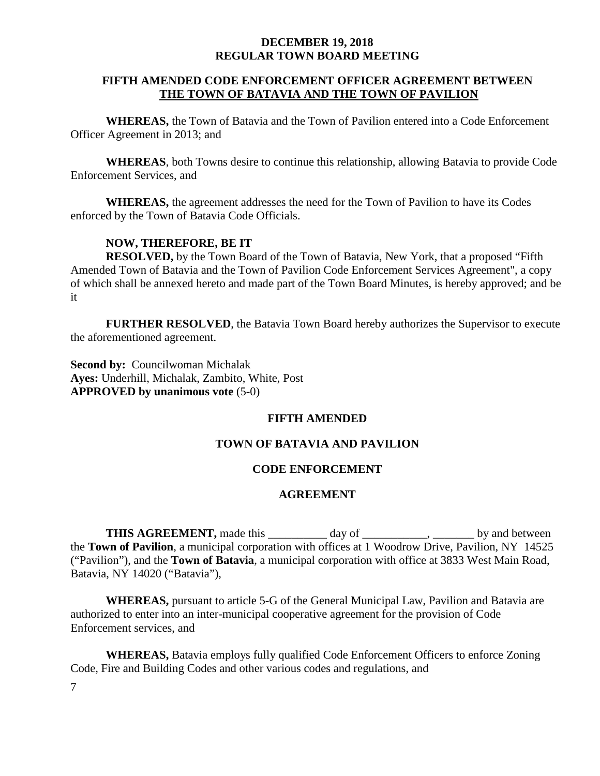## **FIFTH AMENDED CODE ENFORCEMENT OFFICER AGREEMENT BETWEEN THE TOWN OF BATAVIA AND THE TOWN OF PAVILION**

**WHEREAS,** the Town of Batavia and the Town of Pavilion entered into a Code Enforcement Officer Agreement in 2013; and

**WHEREAS**, both Towns desire to continue this relationship, allowing Batavia to provide Code Enforcement Services, and

**WHEREAS,** the agreement addresses the need for the Town of Pavilion to have its Codes enforced by the Town of Batavia Code Officials.

# **NOW, THEREFORE, BE IT**

**RESOLVED,** by the Town Board of the Town of Batavia, New York, that a proposed "Fifth Amended Town of Batavia and the Town of Pavilion Code Enforcement Services Agreement", a copy of which shall be annexed hereto and made part of the Town Board Minutes, is hereby approved; and be it

**FURTHER RESOLVED**, the Batavia Town Board hereby authorizes the Supervisor to execute the aforementioned agreement.

**Second by: Councilwoman Michalak Ayes:** Underhill, Michalak, Zambito, White, Post **APPROVED by unanimous vote** (5-0)

# **FIFTH AMENDED**

# **TOWN OF BATAVIA AND PAVILION**

# **CODE ENFORCEMENT**

# **AGREEMENT**

**THIS AGREEMENT,** made this \_\_\_\_\_\_\_\_ day of \_\_\_\_\_\_\_\_\_, \_\_\_\_\_\_\_ by and between the **Town of Pavilion**, a municipal corporation with offices at 1 Woodrow Drive, Pavilion, NY 14525 ("Pavilion"), and the **Town of Batavia**, a municipal corporation with office at 3833 West Main Road, Batavia, NY 14020 ("Batavia"),

**WHEREAS,** pursuant to article 5-G of the General Municipal Law, Pavilion and Batavia are authorized to enter into an inter-municipal cooperative agreement for the provision of Code Enforcement services, and

**WHEREAS,** Batavia employs fully qualified Code Enforcement Officers to enforce Zoning Code, Fire and Building Codes and other various codes and regulations, and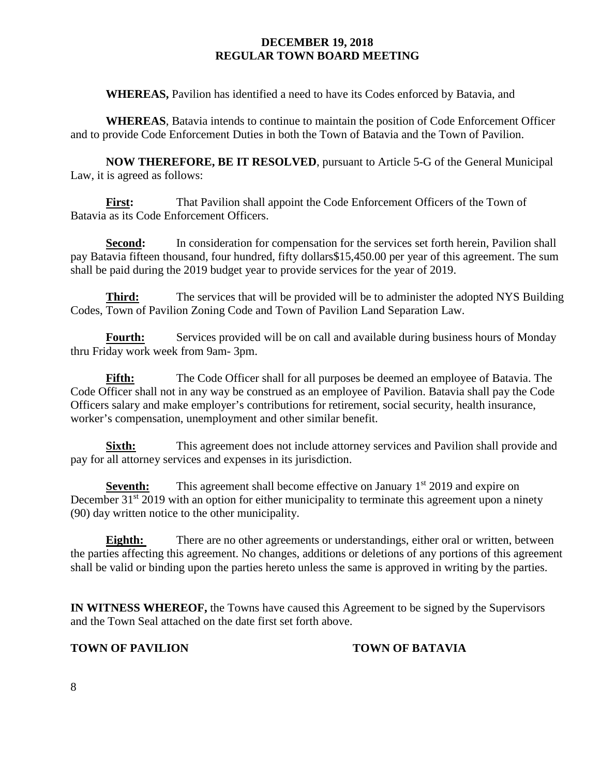**WHEREAS,** Pavilion has identified a need to have its Codes enforced by Batavia, and

**WHEREAS**, Batavia intends to continue to maintain the position of Code Enforcement Officer and to provide Code Enforcement Duties in both the Town of Batavia and the Town of Pavilion.

**NOW THEREFORE, BE IT RESOLVED**, pursuant to Article 5-G of the General Municipal Law, it is agreed as follows:

**First:** That Pavilion shall appoint the Code Enforcement Officers of the Town of Batavia as its Code Enforcement Officers.

Second: In consideration for compensation for the services set forth herein, Pavilion shall pay Batavia fifteen thousand, four hundred, fifty dollars\$15,450.00 per year of this agreement. The sum shall be paid during the 2019 budget year to provide services for the year of 2019.

**Third:** The services that will be provided will be to administer the adopted NYS Building Codes, Town of Pavilion Zoning Code and Town of Pavilion Land Separation Law.

**Fourth:** Services provided will be on call and available during business hours of Monday thru Friday work week from 9am- 3pm.

Fifth: The Code Officer shall for all purposes be deemed an employee of Batavia. The Code Officer shall not in any way be construed as an employee of Pavilion. Batavia shall pay the Code Officers salary and make employer's contributions for retirement, social security, health insurance, worker's compensation, unemployment and other similar benefit.

**Sixth:** This agreement does not include attorney services and Pavilion shall provide and pay for all attorney services and expenses in its jurisdiction.

**Seventh:** This agreement shall become effective on January 1<sup>st</sup> 2019 and expire on December 31<sup>st</sup> 2019 with an option for either municipality to terminate this agreement upon a ninety (90) day written notice to the other municipality.

**Eighth:** There are no other agreements or understandings, either oral or written, between the parties affecting this agreement. No changes, additions or deletions of any portions of this agreement shall be valid or binding upon the parties hereto unless the same is approved in writing by the parties.

**IN WITNESS WHEREOF,** the Towns have caused this Agreement to be signed by the Supervisors and the Town Seal attached on the date first set forth above.

# **TOWN OF PAVILION TOWN OF BATAVIA**

8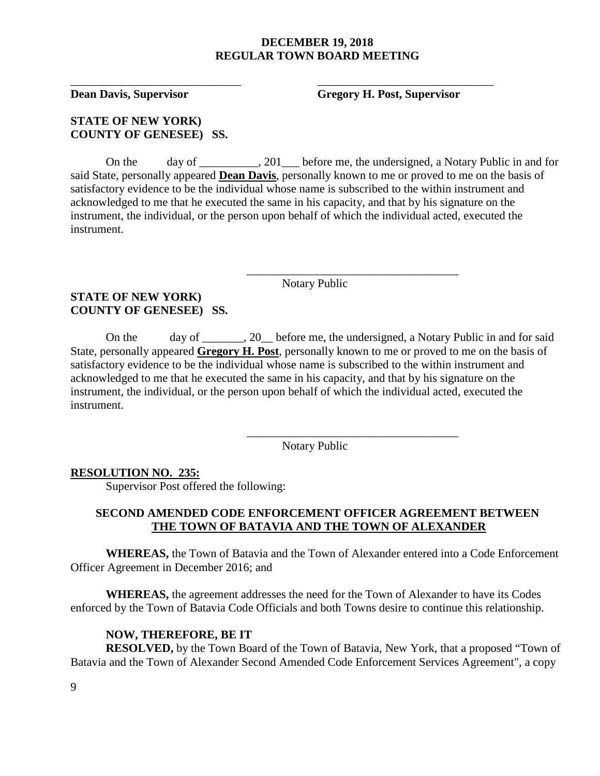\_\_\_\_\_\_\_\_\_\_\_\_\_\_\_\_\_\_\_\_\_\_\_\_\_\_\_\_\_ \_\_\_\_\_\_\_\_\_\_\_\_\_\_\_\_\_\_\_\_\_\_\_\_\_\_\_\_\_\_

**Dean Davis, Supervisor Gregory H. Post, Supervisor**

# **STATE OF NEW YORK) COUNTY OF GENESEE) SS.**

On the day of \_\_\_\_\_\_\_, 201 before me, the undersigned, a Notary Public in and for said State, personally appeared **Dean Davis**, personally known to me or proved to me on the basis of satisfactory evidence to be the individual whose name is subscribed to the within instrument and acknowledged to me that he executed the same in his capacity, and that by his signature on the instrument, the individual, or the person upon behalf of which the individual acted, executed the instrument.

Notary Public

\_\_\_\_\_\_\_\_\_\_\_\_\_\_\_\_\_\_\_\_\_\_\_\_\_\_\_\_\_\_\_\_\_\_\_\_

\_\_\_\_\_\_\_\_\_\_\_\_\_\_\_\_\_\_\_\_\_\_\_\_\_\_\_\_\_\_\_\_\_\_\_\_

## **STATE OF NEW YORK) COUNTY OF GENESEE) SS.**

On the day of \_\_\_\_\_\_\_, 20\_\_ before me, the undersigned, a Notary Public in and for said State, personally appeared **Gregory H. Post**, personally known to me or proved to me on the basis of satisfactory evidence to be the individual whose name is subscribed to the within instrument and acknowledged to me that he executed the same in his capacity, and that by his signature on the instrument, the individual, or the person upon behalf of which the individual acted, executed the instrument.

Notary Public

## **RESOLUTION NO. 235:**

Supervisor Post offered the following:

## **SECOND AMENDED CODE ENFORCEMENT OFFICER AGREEMENT BETWEEN THE TOWN OF BATAVIA AND THE TOWN OF ALEXANDER**

**WHEREAS,** the Town of Batavia and the Town of Alexander entered into a Code Enforcement Officer Agreement in December 2016; and

**WHEREAS,** the agreement addresses the need for the Town of Alexander to have its Codes enforced by the Town of Batavia Code Officials and both Towns desire to continue this relationship.

#### **NOW, THEREFORE, BE IT**

**RESOLVED,** by the Town Board of the Town of Batavia, New York, that a proposed "Town of Batavia and the Town of Alexander Second Amended Code Enforcement Services Agreement", a copy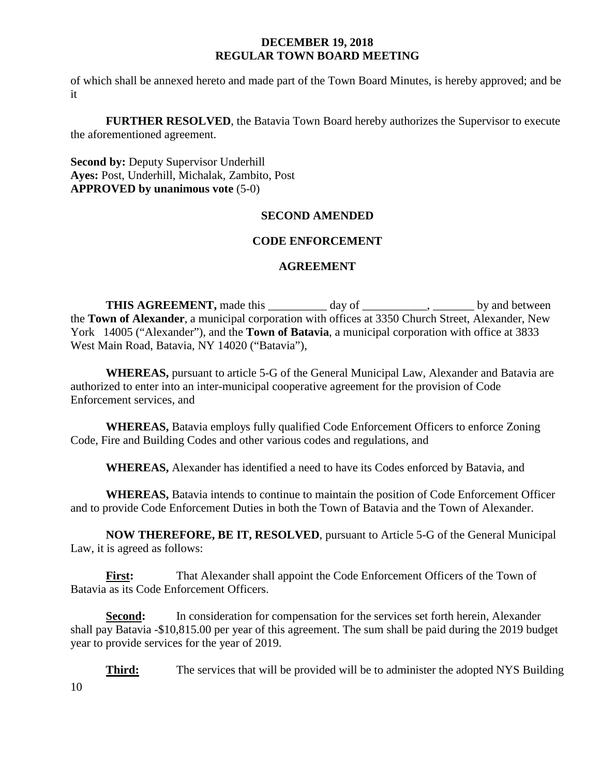of which shall be annexed hereto and made part of the Town Board Minutes, is hereby approved; and be it

**FURTHER RESOLVED**, the Batavia Town Board hereby authorizes the Supervisor to execute the aforementioned agreement.

**Second by: Deputy Supervisor Underhill Ayes:** Post, Underhill, Michalak, Zambito, Post **APPROVED by unanimous vote** (5-0)

# **SECOND AMENDED**

# **CODE ENFORCEMENT**

# **AGREEMENT**

**THIS AGREEMENT,** made this \_\_\_\_\_\_\_\_\_\_ day of \_\_\_\_\_\_\_\_\_\_, \_\_\_\_\_\_\_\_ by and between the **Town of Alexander**, a municipal corporation with offices at 3350 Church Street, Alexander, New York 14005 ("Alexander"), and the **Town of Batavia**, a municipal corporation with office at 3833 West Main Road, Batavia, NY 14020 ("Batavia"),

**WHEREAS,** pursuant to article 5-G of the General Municipal Law, Alexander and Batavia are authorized to enter into an inter-municipal cooperative agreement for the provision of Code Enforcement services, and

**WHEREAS,** Batavia employs fully qualified Code Enforcement Officers to enforce Zoning Code, Fire and Building Codes and other various codes and regulations, and

**WHEREAS,** Alexander has identified a need to have its Codes enforced by Batavia, and

**WHEREAS,** Batavia intends to continue to maintain the position of Code Enforcement Officer and to provide Code Enforcement Duties in both the Town of Batavia and the Town of Alexander.

**NOW THEREFORE, BE IT, RESOLVED**, pursuant to Article 5-G of the General Municipal Law, it is agreed as follows:

**First:** That Alexander shall appoint the Code Enforcement Officers of the Town of Batavia as its Code Enforcement Officers.

**Second:** In consideration for compensation for the services set forth herein, Alexander shall pay Batavia -\$10,815.00 per year of this agreement. The sum shall be paid during the 2019 budget year to provide services for the year of 2019.

10 **Third:** The services that will be provided will be to administer the adopted NYS Building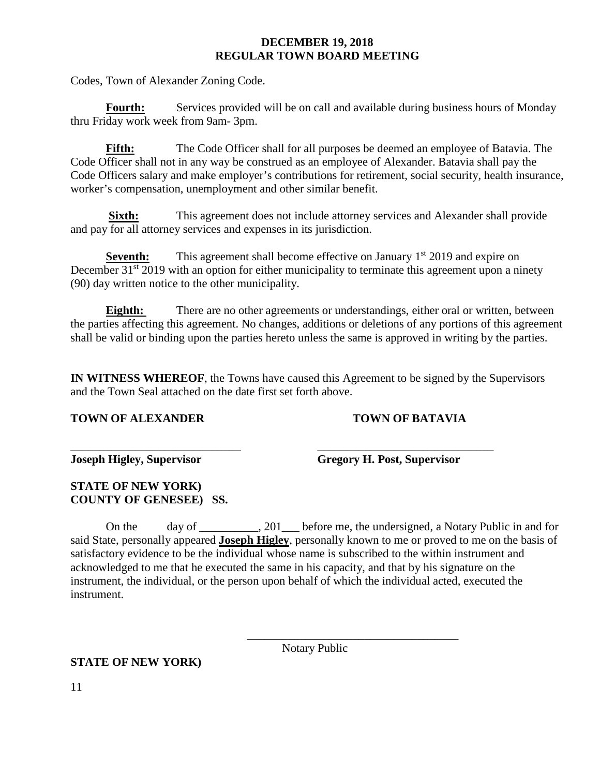Codes, Town of Alexander Zoning Code.

Fourth: Services provided will be on call and available during business hours of Monday thru Friday work week from 9am- 3pm.

**Fifth:** The Code Officer shall for all purposes be deemed an employee of Batavia. The Code Officer shall not in any way be construed as an employee of Alexander. Batavia shall pay the Code Officers salary and make employer's contributions for retirement, social security, health insurance, worker's compensation, unemployment and other similar benefit.

**Sixth:** This agreement does not include attorney services and Alexander shall provide and pay for all attorney services and expenses in its jurisdiction.

**Seventh:** This agreement shall become effective on January 1<sup>st</sup> 2019 and expire on December 31<sup>st</sup> 2019 with an option for either municipality to terminate this agreement upon a ninety (90) day written notice to the other municipality.

**Eighth:** There are no other agreements or understandings, either oral or written, between the parties affecting this agreement. No changes, additions or deletions of any portions of this agreement shall be valid or binding upon the parties hereto unless the same is approved in writing by the parties.

**IN WITNESS WHEREOF**, the Towns have caused this Agreement to be signed by the Supervisors and the Town Seal attached on the date first set forth above.

## **TOWN OF ALEXANDER TOWN OF BATAVIA**

\_\_\_\_\_\_\_\_\_\_\_\_\_\_\_\_\_\_\_\_\_\_\_\_\_\_\_\_\_ \_\_\_\_\_\_\_\_\_\_\_\_\_\_\_\_\_\_\_\_\_\_\_\_\_\_\_\_\_\_

**Joseph Higley, Supervisor Gregory H. Post, Supervisor**

# **STATE OF NEW YORK) COUNTY OF GENESEE) SS.**

On the day of 201 before me, the undersigned, a Notary Public in and for said State, personally appeared **Joseph Higley**, personally known to me or proved to me on the basis of satisfactory evidence to be the individual whose name is subscribed to the within instrument and acknowledged to me that he executed the same in his capacity, and that by his signature on the instrument, the individual, or the person upon behalf of which the individual acted, executed the instrument.

Notary Public

\_\_\_\_\_\_\_\_\_\_\_\_\_\_\_\_\_\_\_\_\_\_\_\_\_\_\_\_\_\_\_\_\_\_\_\_

# **STATE OF NEW YORK)**

11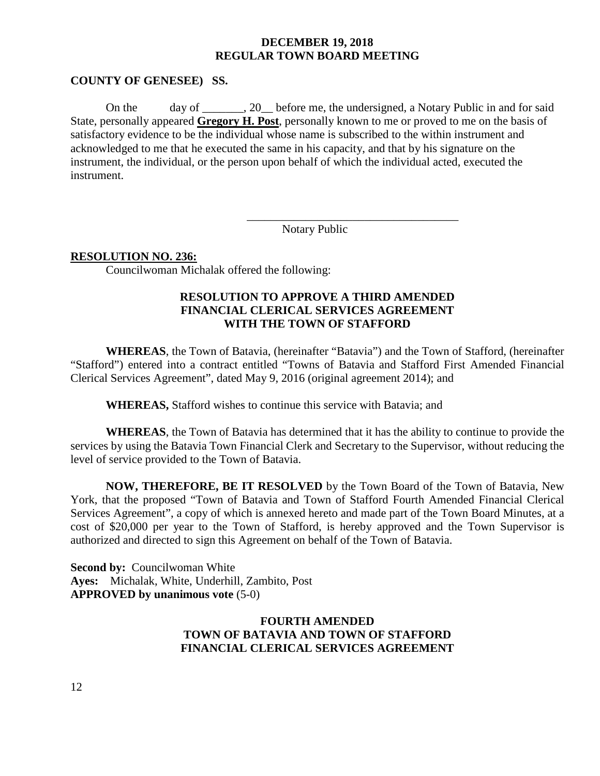#### **COUNTY OF GENESEE) SS.**

On the day of 20 before me, the undersigned, a Notary Public in and for said State, personally appeared **Gregory H. Post**, personally known to me or proved to me on the basis of satisfactory evidence to be the individual whose name is subscribed to the within instrument and acknowledged to me that he executed the same in his capacity, and that by his signature on the instrument, the individual, or the person upon behalf of which the individual acted, executed the instrument.

Notary Public

\_\_\_\_\_\_\_\_\_\_\_\_\_\_\_\_\_\_\_\_\_\_\_\_\_\_\_\_\_\_\_\_\_\_\_\_

#### **RESOLUTION NO. 236:**

Councilwoman Michalak offered the following:

# **RESOLUTION TO APPROVE A THIRD AMENDED FINANCIAL CLERICAL SERVICES AGREEMENT WITH THE TOWN OF STAFFORD**

**WHEREAS**, the Town of Batavia, (hereinafter "Batavia") and the Town of Stafford, (hereinafter "Stafford") entered into a contract entitled "Towns of Batavia and Stafford First Amended Financial Clerical Services Agreement", dated May 9, 2016 (original agreement 2014); and

**WHEREAS,** Stafford wishes to continue this service with Batavia; and

**WHEREAS**, the Town of Batavia has determined that it has the ability to continue to provide the services by using the Batavia Town Financial Clerk and Secretary to the Supervisor, without reducing the level of service provided to the Town of Batavia.

**NOW, THEREFORE, BE IT RESOLVED** by the Town Board of the Town of Batavia, New York, that the proposed "Town of Batavia and Town of Stafford Fourth Amended Financial Clerical Services Agreement", a copy of which is annexed hereto and made part of the Town Board Minutes, at a cost of \$20,000 per year to the Town of Stafford, is hereby approved and the Town Supervisor is authorized and directed to sign this Agreement on behalf of the Town of Batavia.

**Second by: Councilwoman White Ayes:** Michalak, White, Underhill, Zambito, Post **APPROVED by unanimous vote** (5-0)

# **FOURTH AMENDED TOWN OF BATAVIA AND TOWN OF STAFFORD FINANCIAL CLERICAL SERVICES AGREEMENT**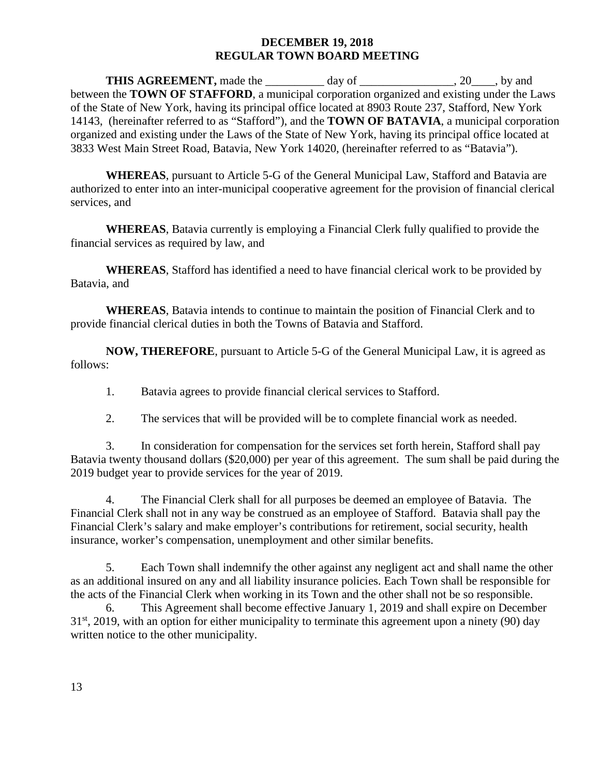**THIS AGREEMENT,** made the \_\_\_\_\_\_\_\_\_ day of \_\_\_\_\_\_\_\_\_\_\_\_\_, 20\_\_\_\_, by and between the **TOWN OF STAFFORD**, a municipal corporation organized and existing under the Laws of the State of New York, having its principal office located at 8903 Route 237, Stafford, New York 14143, (hereinafter referred to as "Stafford"), and the **TOWN OF BATAVIA**, a municipal corporation organized and existing under the Laws of the State of New York, having its principal office located at 3833 West Main Street Road, Batavia, New York 14020, (hereinafter referred to as "Batavia").

**WHEREAS**, pursuant to Article 5-G of the General Municipal Law, Stafford and Batavia are authorized to enter into an inter-municipal cooperative agreement for the provision of financial clerical services, and

**WHEREAS**, Batavia currently is employing a Financial Clerk fully qualified to provide the financial services as required by law, and

**WHEREAS**, Stafford has identified a need to have financial clerical work to be provided by Batavia, and

**WHEREAS**, Batavia intends to continue to maintain the position of Financial Clerk and to provide financial clerical duties in both the Towns of Batavia and Stafford.

**NOW, THEREFORE**, pursuant to Article 5-G of the General Municipal Law, it is agreed as follows:

1. Batavia agrees to provide financial clerical services to Stafford.

2. The services that will be provided will be to complete financial work as needed.

3. In consideration for compensation for the services set forth herein, Stafford shall pay Batavia twenty thousand dollars (\$20,000) per year of this agreement. The sum shall be paid during the 2019 budget year to provide services for the year of 2019.

4. The Financial Clerk shall for all purposes be deemed an employee of Batavia. The Financial Clerk shall not in any way be construed as an employee of Stafford. Batavia shall pay the Financial Clerk's salary and make employer's contributions for retirement, social security, health insurance, worker's compensation, unemployment and other similar benefits.

5. Each Town shall indemnify the other against any negligent act and shall name the other as an additional insured on any and all liability insurance policies. Each Town shall be responsible for the acts of the Financial Clerk when working in its Town and the other shall not be so responsible.

6. This Agreement shall become effective January 1, 2019 and shall expire on December  $31<sup>st</sup>$ , 2019, with an option for either municipality to terminate this agreement upon a ninety (90) day written notice to the other municipality.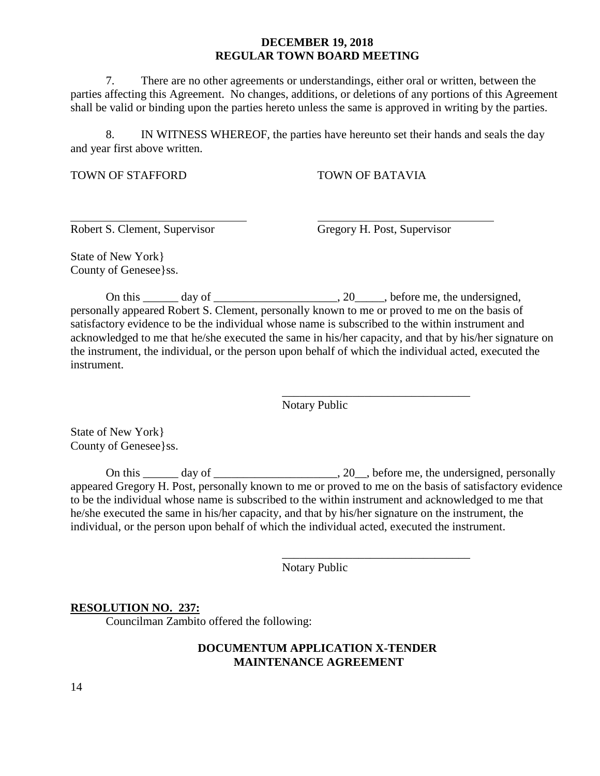7. There are no other agreements or understandings, either oral or written, between the parties affecting this Agreement. No changes, additions, or deletions of any portions of this Agreement shall be valid or binding upon the parties hereto unless the same is approved in writing by the parties.

8. IN WITNESS WHEREOF, the parties have hereunto set their hands and seals the day and year first above written.

TOWN OF STAFFORD TOWN OF BATAVIA

Robert S. Clement, Supervisor Gregory H. Post, Supervisor

\_\_\_\_\_\_\_\_\_\_\_\_\_\_\_\_\_\_\_\_\_\_\_\_\_\_\_\_\_\_\_\_

\_\_\_\_\_\_\_\_\_\_\_\_\_\_\_\_\_\_\_\_\_\_\_\_\_\_\_\_\_\_\_\_

State of New York} County of Genesee}ss.

On this day of  $\qquad \qquad .20$ , before me, the undersigned, personally appeared Robert S. Clement, personally known to me or proved to me on the basis of satisfactory evidence to be the individual whose name is subscribed to the within instrument and acknowledged to me that he/she executed the same in his/her capacity, and that by his/her signature on the instrument, the individual, or the person upon behalf of which the individual acted, executed the instrument.

Notary Public

State of New York} County of Genesee}ss.

On this  $\frac{1}{\sqrt{2}}$  day of  $\frac{1}{\sqrt{2}}$  and  $\frac{1}{\sqrt{2}}$ , before me, the undersigned, personally appeared Gregory H. Post, personally known to me or proved to me on the basis of satisfactory evidence to be the individual whose name is subscribed to the within instrument and acknowledged to me that he/she executed the same in his/her capacity, and that by his/her signature on the instrument, the individual, or the person upon behalf of which the individual acted, executed the instrument.

Notary Public

## **RESOLUTION NO. 237:**

Councilman Zambito offered the following:

## **DOCUMENTUM APPLICATION X-TENDER MAINTENANCE AGREEMENT**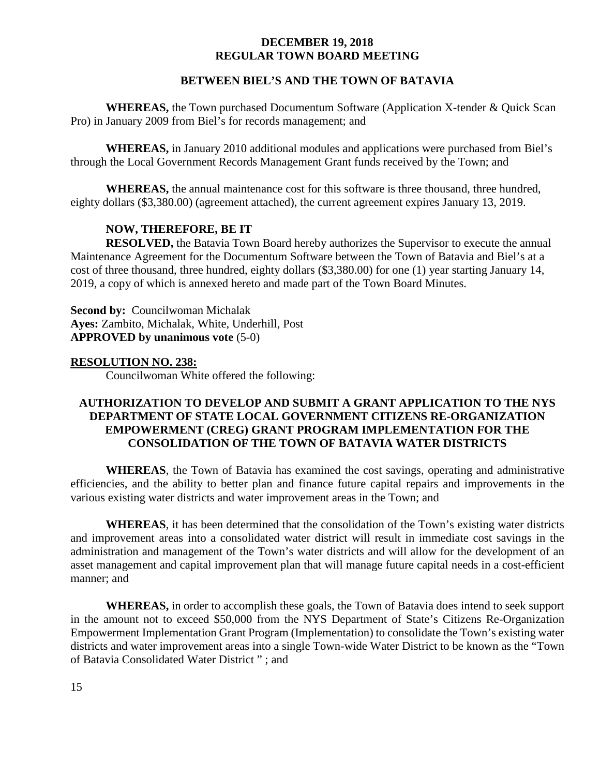# **BETWEEN BIEL'S AND THE TOWN OF BATAVIA**

**WHEREAS,** the Town purchased Documentum Software (Application X-tender & Quick Scan Pro) in January 2009 from Biel's for records management; and

**WHEREAS,** in January 2010 additional modules and applications were purchased from Biel's through the Local Government Records Management Grant funds received by the Town; and

**WHEREAS,** the annual maintenance cost for this software is three thousand, three hundred, eighty dollars (\$3,380.00) (agreement attached), the current agreement expires January 13, 2019.

# **NOW, THEREFORE, BE IT**

**RESOLVED,** the Batavia Town Board hereby authorizes the Supervisor to execute the annual Maintenance Agreement for the Documentum Software between the Town of Batavia and Biel's at a cost of three thousand, three hundred, eighty dollars (\$3,380.00) for one (1) year starting January 14, 2019, a copy of which is annexed hereto and made part of the Town Board Minutes.

**Second by: Councilwoman Michalak Ayes:** Zambito, Michalak, White, Underhill, Post **APPROVED by unanimous vote** (5-0)

## **RESOLUTION NO. 238:**

Councilwoman White offered the following:

# **AUTHORIZATION TO DEVELOP AND SUBMIT A GRANT APPLICATION TO THE NYS DEPARTMENT OF STATE LOCAL GOVERNMENT CITIZENS RE-ORGANIZATION EMPOWERMENT (CREG) GRANT PROGRAM IMPLEMENTATION FOR THE CONSOLIDATION OF THE TOWN OF BATAVIA WATER DISTRICTS**

**WHEREAS**, the Town of Batavia has examined the cost savings, operating and administrative efficiencies, and the ability to better plan and finance future capital repairs and improvements in the various existing water districts and water improvement areas in the Town; and

**WHEREAS**, it has been determined that the consolidation of the Town's existing water districts and improvement areas into a consolidated water district will result in immediate cost savings in the administration and management of the Town's water districts and will allow for the development of an asset management and capital improvement plan that will manage future capital needs in a cost-efficient manner; and

**WHEREAS,** in order to accomplish these goals, the Town of Batavia does intend to seek support in the amount not to exceed \$50,000 from the NYS Department of State's Citizens Re-Organization Empowerment Implementation Grant Program (Implementation) to consolidate the Town's existing water districts and water improvement areas into a single Town-wide Water District to be known as the "Town of Batavia Consolidated Water District " ; and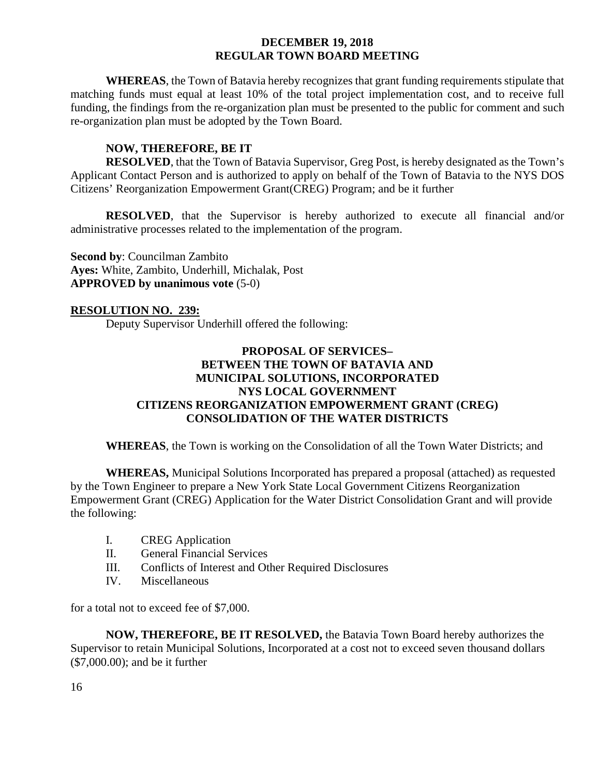**WHEREAS**, the Town of Batavia hereby recognizes that grant funding requirements stipulate that matching funds must equal at least 10% of the total project implementation cost, and to receive full funding, the findings from the re-organization plan must be presented to the public for comment and such re-organization plan must be adopted by the Town Board.

# **NOW, THEREFORE, BE IT**

**RESOLVED**, that the Town of Batavia Supervisor, Greg Post, is hereby designated as the Town's Applicant Contact Person and is authorized to apply on behalf of the Town of Batavia to the NYS DOS Citizens' Reorganization Empowerment Grant(CREG) Program; and be it further

**RESOLVED**, that the Supervisor is hereby authorized to execute all financial and/or administrative processes related to the implementation of the program.

**Second by**: Councilman Zambito **Ayes:** White, Zambito, Underhill, Michalak, Post **APPROVED by unanimous vote** (5-0)

## **RESOLUTION NO. 239:**

Deputy Supervisor Underhill offered the following:

# **PROPOSAL OF SERVICES– BETWEEN THE TOWN OF BATAVIA AND MUNICIPAL SOLUTIONS, INCORPORATED NYS LOCAL GOVERNMENT CITIZENS REORGANIZATION EMPOWERMENT GRANT (CREG) CONSOLIDATION OF THE WATER DISTRICTS**

**WHEREAS**, the Town is working on the Consolidation of all the Town Water Districts; and

**WHEREAS,** Municipal Solutions Incorporated has prepared a proposal (attached) as requested by the Town Engineer to prepare a New York State Local Government Citizens Reorganization Empowerment Grant (CREG) Application for the Water District Consolidation Grant and will provide the following:

- I. CREG Application
- II. General Financial Services
- III. Conflicts of Interest and Other Required Disclosures
- IV. Miscellaneous

for a total not to exceed fee of \$7,000.

**NOW, THEREFORE, BE IT RESOLVED,** the Batavia Town Board hereby authorizes the Supervisor to retain Municipal Solutions, Incorporated at a cost not to exceed seven thousand dollars (\$7,000.00); and be it further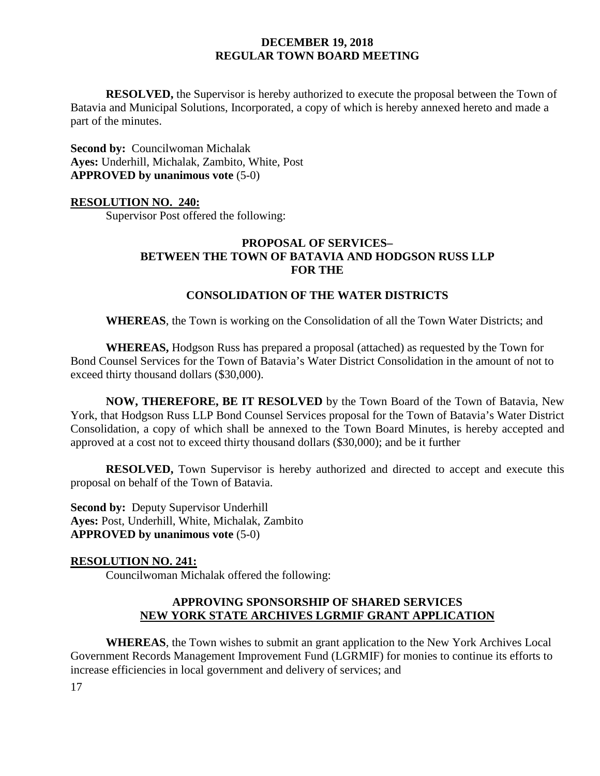**RESOLVED,** the Supervisor is hereby authorized to execute the proposal between the Town of Batavia and Municipal Solutions, Incorporated, a copy of which is hereby annexed hereto and made a part of the minutes.

**Second by:** Councilwoman Michalak **Ayes:** Underhill, Michalak, Zambito, White, Post **APPROVED by unanimous vote** (5-0)

### **RESOLUTION NO. 240:**

Supervisor Post offered the following:

# **PROPOSAL OF SERVICES– BETWEEN THE TOWN OF BATAVIA AND HODGSON RUSS LLP FOR THE**

### **CONSOLIDATION OF THE WATER DISTRICTS**

**WHEREAS**, the Town is working on the Consolidation of all the Town Water Districts; and

**WHEREAS,** Hodgson Russ has prepared a proposal (attached) as requested by the Town for Bond Counsel Services for the Town of Batavia's Water District Consolidation in the amount of not to exceed thirty thousand dollars (\$30,000).

**NOW, THEREFORE, BE IT RESOLVED** by the Town Board of the Town of Batavia, New York, that Hodgson Russ LLP Bond Counsel Services proposal for the Town of Batavia's Water District Consolidation, a copy of which shall be annexed to the Town Board Minutes, is hereby accepted and approved at a cost not to exceed thirty thousand dollars (\$30,000); and be it further

**RESOLVED,** Town Supervisor is hereby authorized and directed to accept and execute this proposal on behalf of the Town of Batavia.

**Second by: Deputy Supervisor Underhill Ayes:** Post, Underhill, White, Michalak, Zambito **APPROVED by unanimous vote** (5-0)

#### **RESOLUTION NO. 241:**

Councilwoman Michalak offered the following:

## **APPROVING SPONSORSHIP OF SHARED SERVICES NEW YORK STATE ARCHIVES LGRMIF GRANT APPLICATION**

**WHEREAS**, the Town wishes to submit an grant application to the New York Archives Local Government Records Management Improvement Fund (LGRMIF) for monies to continue its efforts to increase efficiencies in local government and delivery of services; and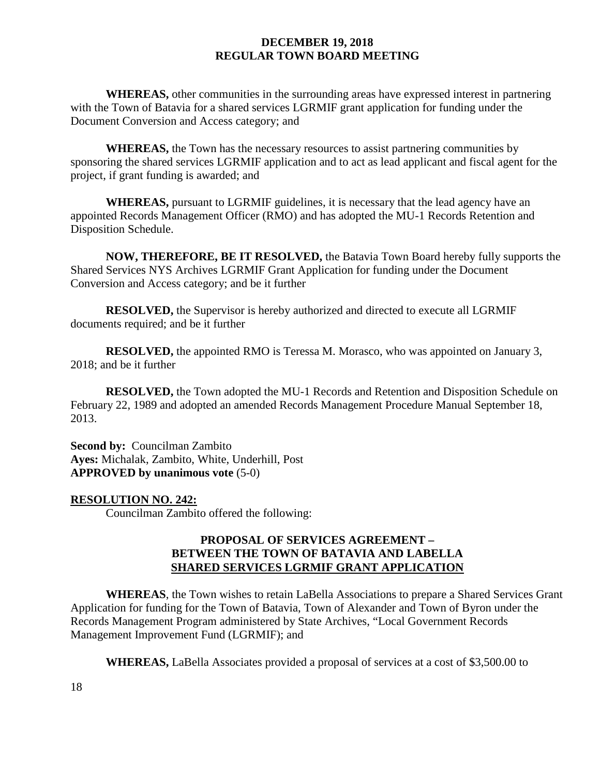**WHEREAS,** other communities in the surrounding areas have expressed interest in partnering with the Town of Batavia for a shared services LGRMIF grant application for funding under the Document Conversion and Access category; and

**WHEREAS,** the Town has the necessary resources to assist partnering communities by sponsoring the shared services LGRMIF application and to act as lead applicant and fiscal agent for the project, if grant funding is awarded; and

**WHEREAS,** pursuant to LGRMIF guidelines, it is necessary that the lead agency have an appointed Records Management Officer (RMO) and has adopted the MU-1 Records Retention and Disposition Schedule.

**NOW, THEREFORE, BE IT RESOLVED,** the Batavia Town Board hereby fully supports the Shared Services NYS Archives LGRMIF Grant Application for funding under the Document Conversion and Access category; and be it further

**RESOLVED,** the Supervisor is hereby authorized and directed to execute all LGRMIF documents required; and be it further

**RESOLVED,** the appointed RMO is Teressa M. Morasco, who was appointed on January 3, 2018; and be it further

**RESOLVED,** the Town adopted the MU-1 Records and Retention and Disposition Schedule on February 22, 1989 and adopted an amended Records Management Procedure Manual September 18, 2013.

**Second by:** Councilman Zambito **Ayes:** Michalak, Zambito, White, Underhill, Post **APPROVED by unanimous vote** (5-0)

## **RESOLUTION NO. 242:**

Councilman Zambito offered the following:

# **PROPOSAL OF SERVICES AGREEMENT – BETWEEN THE TOWN OF BATAVIA AND LABELLA SHARED SERVICES LGRMIF GRANT APPLICATION**

**WHEREAS**, the Town wishes to retain LaBella Associations to prepare a Shared Services Grant Application for funding for the Town of Batavia, Town of Alexander and Town of Byron under the Records Management Program administered by State Archives, "Local Government Records Management Improvement Fund (LGRMIF); and

**WHEREAS,** LaBella Associates provided a proposal of services at a cost of \$3,500.00 to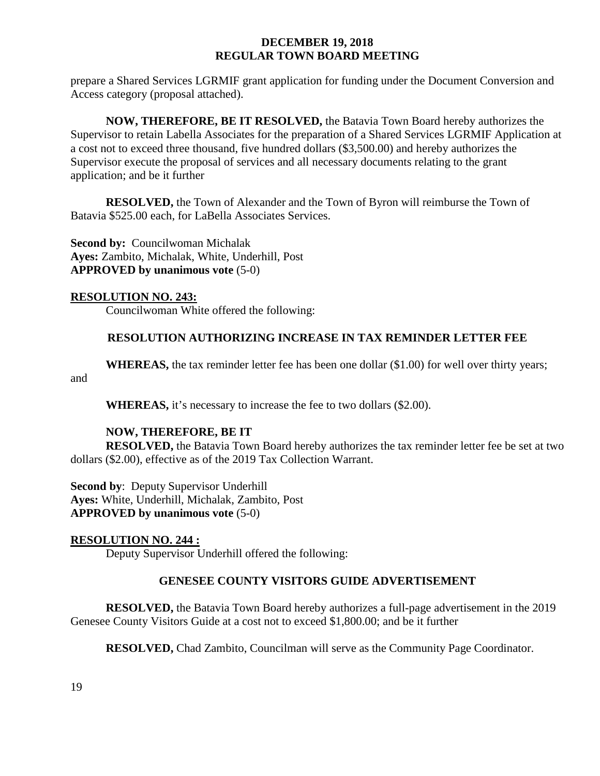prepare a Shared Services LGRMIF grant application for funding under the Document Conversion and Access category (proposal attached).

**NOW, THEREFORE, BE IT RESOLVED,** the Batavia Town Board hereby authorizes the Supervisor to retain Labella Associates for the preparation of a Shared Services LGRMIF Application at a cost not to exceed three thousand, five hundred dollars (\$3,500.00) and hereby authorizes the Supervisor execute the proposal of services and all necessary documents relating to the grant application; and be it further

**RESOLVED,** the Town of Alexander and the Town of Byron will reimburse the Town of Batavia \$525.00 each, for LaBella Associates Services.

**Second by: Councilwoman Michalak Ayes:** Zambito, Michalak, White, Underhill, Post **APPROVED by unanimous vote** (5-0)

## **RESOLUTION NO. 243:**

Councilwoman White offered the following:

# **RESOLUTION AUTHORIZING INCREASE IN TAX REMINDER LETTER FEE**

**WHEREAS,** the tax reminder letter fee has been one dollar (\$1.00) for well over thirty years; and

**WHEREAS,** it's necessary to increase the fee to two dollars (\$2.00).

# **NOW, THEREFORE, BE IT**

**RESOLVED,** the Batavia Town Board hereby authorizes the tax reminder letter fee be set at two dollars (\$2.00), effective as of the 2019 Tax Collection Warrant.

**Second by**: Deputy Supervisor Underhill **Ayes:** White, Underhill, Michalak, Zambito, Post **APPROVED by unanimous vote** (5-0)

## **RESOLUTION NO. 244 :**

Deputy Supervisor Underhill offered the following:

# **GENESEE COUNTY VISITORS GUIDE ADVERTISEMENT**

**RESOLVED,** the Batavia Town Board hereby authorizes a full-page advertisement in the 2019 Genesee County Visitors Guide at a cost not to exceed \$1,800.00; and be it further

**RESOLVED,** Chad Zambito, Councilman will serve as the Community Page Coordinator.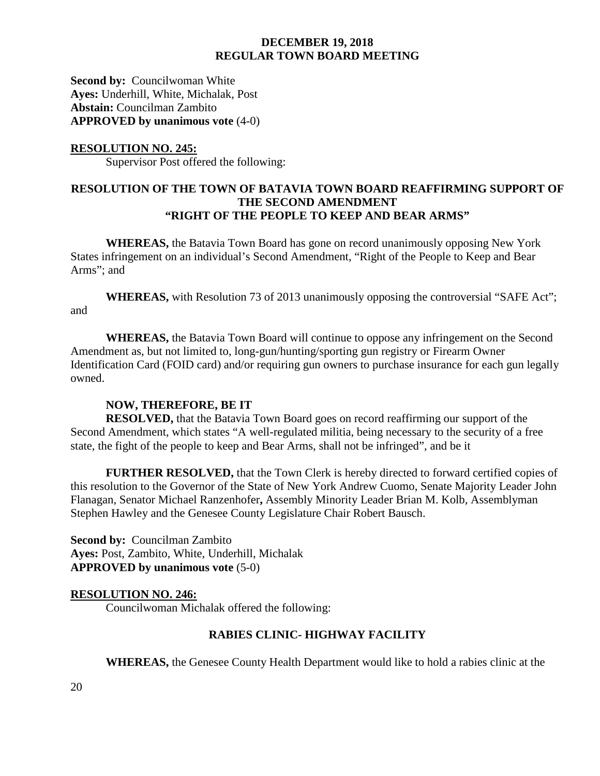**Second by: Councilwoman White Ayes:** Underhill, White, Michalak, Post **Abstain:** Councilman Zambito **APPROVED by unanimous vote** (4-0)

### **RESOLUTION NO. 245:**

Supervisor Post offered the following:

# **RESOLUTION OF THE TOWN OF BATAVIA TOWN BOARD REAFFIRMING SUPPORT OF THE SECOND AMENDMENT "RIGHT OF THE PEOPLE TO KEEP AND BEAR ARMS"**

**WHEREAS,** the Batavia Town Board has gone on record unanimously opposing New York States infringement on an individual's Second Amendment, "Right of the People to Keep and Bear Arms"; and

**WHEREAS,** with Resolution 73 of 2013 unanimously opposing the controversial "SAFE Act"; and

**WHEREAS,** the Batavia Town Board will continue to oppose any infringement on the Second Amendment as, but not limited to, long-gun/hunting/sporting gun registry or Firearm Owner Identification Card (FOID card) and/or requiring gun owners to purchase insurance for each gun legally owned.

## **NOW, THEREFORE, BE IT**

**RESOLVED,** that the Batavia Town Board goes on record reaffirming our support of the Second Amendment, which states "A well-regulated militia, being necessary to the security of a free state, the fight of the people to keep and Bear Arms, shall not be infringed", and be it

**FURTHER RESOLVED,** that the Town Clerk is hereby directed to forward certified copies of this resolution to the Governor of the State of New York Andrew Cuomo, Senate Majority Leader John Flanagan, Senator Michael Ranzenhofer**,** Assembly Minority Leader Brian M. Kolb, Assemblyman Stephen Hawley and the Genesee County Legislature Chair Robert Bausch.

**Second by:** Councilman Zambito **Ayes:** Post, Zambito, White, Underhill, Michalak **APPROVED by unanimous vote** (5-0)

## **RESOLUTION NO. 246:**

Councilwoman Michalak offered the following:

## **RABIES CLINIC- HIGHWAY FACILITY**

**WHEREAS,** the Genesee County Health Department would like to hold a rabies clinic at the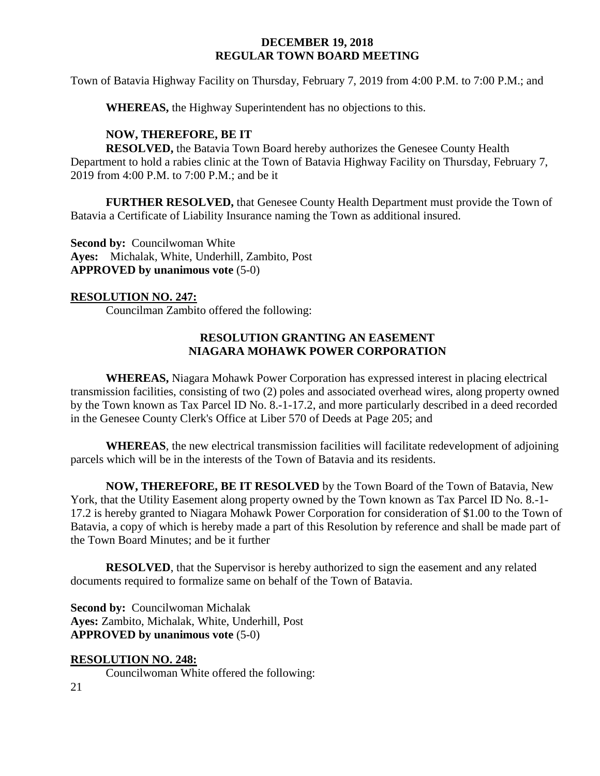Town of Batavia Highway Facility on Thursday, February 7, 2019 from 4:00 P.M. to 7:00 P.M.; and

**WHEREAS,** the Highway Superintendent has no objections to this.

# **NOW, THEREFORE, BE IT**

**RESOLVED,** the Batavia Town Board hereby authorizes the Genesee County Health Department to hold a rabies clinic at the Town of Batavia Highway Facility on Thursday, February 7, 2019 from 4:00 P.M. to 7:00 P.M.; and be it

**FURTHER RESOLVED,** that Genesee County Health Department must provide the Town of Batavia a Certificate of Liability Insurance naming the Town as additional insured.

**Second by: Councilwoman White Ayes:** Michalak, White, Underhill, Zambito, Post **APPROVED by unanimous vote** (5-0)

# **RESOLUTION NO. 247:**

Councilman Zambito offered the following:

# **RESOLUTION GRANTING AN EASEMENT NIAGARA MOHAWK POWER CORPORATION**

**WHEREAS,** Niagara Mohawk Power Corporation has expressed interest in placing electrical transmission facilities, consisting of two (2) poles and associated overhead wires, along property owned by the Town known as Tax Parcel ID No. 8.-1-17.2, and more particularly described in a deed recorded in the Genesee County Clerk's Office at Liber 570 of Deeds at Page 205; and

**WHEREAS**, the new electrical transmission facilities will facilitate redevelopment of adjoining parcels which will be in the interests of the Town of Batavia and its residents.

**NOW, THEREFORE, BE IT RESOLVED** by the Town Board of the Town of Batavia, New York, that the Utility Easement along property owned by the Town known as Tax Parcel ID No. 8.-1- 17.2 is hereby granted to Niagara Mohawk Power Corporation for consideration of \$1.00 to the Town of Batavia, a copy of which is hereby made a part of this Resolution by reference and shall be made part of the Town Board Minutes; and be it further

**RESOLVED**, that the Supervisor is hereby authorized to sign the easement and any related documents required to formalize same on behalf of the Town of Batavia.

**Second by: Councilwoman Michalak Ayes:** Zambito, Michalak, White, Underhill, Post **APPROVED by unanimous vote** (5-0)

# **RESOLUTION NO. 248:**

Councilwoman White offered the following: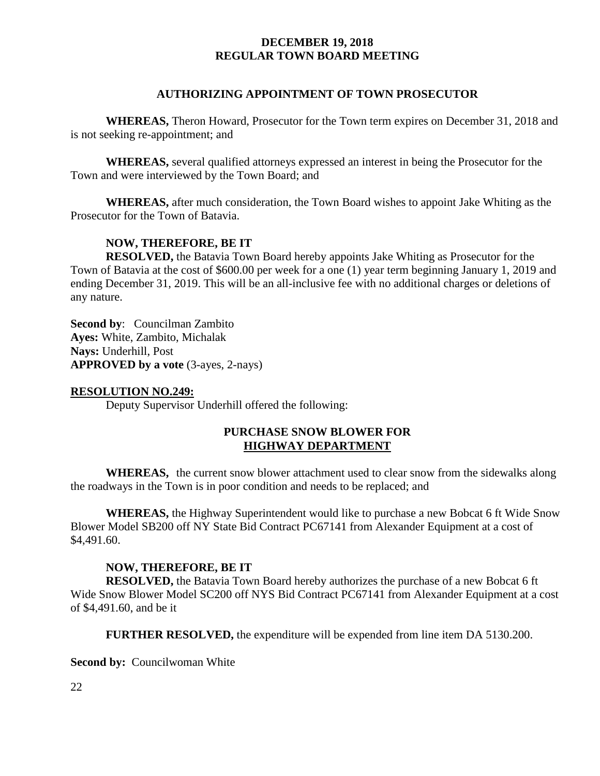## **AUTHORIZING APPOINTMENT OF TOWN PROSECUTOR**

**WHEREAS,** Theron Howard, Prosecutor for the Town term expires on December 31, 2018 and is not seeking re-appointment; and

**WHEREAS,** several qualified attorneys expressed an interest in being the Prosecutor for the Town and were interviewed by the Town Board; and

**WHEREAS,** after much consideration, the Town Board wishes to appoint Jake Whiting as the Prosecutor for the Town of Batavia.

# **NOW, THEREFORE, BE IT**

**RESOLVED,** the Batavia Town Board hereby appoints Jake Whiting as Prosecutor for the Town of Batavia at the cost of \$600.00 per week for a one (1) year term beginning January 1, 2019 and ending December 31, 2019. This will be an all-inclusive fee with no additional charges or deletions of any nature.

**Second by**: Councilman Zambito **Ayes:** White, Zambito, Michalak **Nays:** Underhill, Post **APPROVED by a vote** (3-ayes, 2-nays)

#### **RESOLUTION NO.249:**

Deputy Supervisor Underhill offered the following:

# **PURCHASE SNOW BLOWER FOR HIGHWAY DEPARTMENT**

**WHEREAS,** the current snow blower attachment used to clear snow from the sidewalks along the roadways in the Town is in poor condition and needs to be replaced; and

**WHEREAS,** the Highway Superintendent would like to purchase a new Bobcat 6 ft Wide Snow Blower Model SB200 off NY State Bid Contract PC67141 from Alexander Equipment at a cost of \$4,491.60.

## **NOW, THEREFORE, BE IT**

**RESOLVED,** the Batavia Town Board hereby authorizes the purchase of a new Bobcat 6 ft Wide Snow Blower Model SC200 off NYS Bid Contract PC67141 from Alexander Equipment at a cost of \$4,491.60, and be it

**FURTHER RESOLVED,** the expenditure will be expended from line item DA 5130.200.

**Second by: Councilwoman White** 

22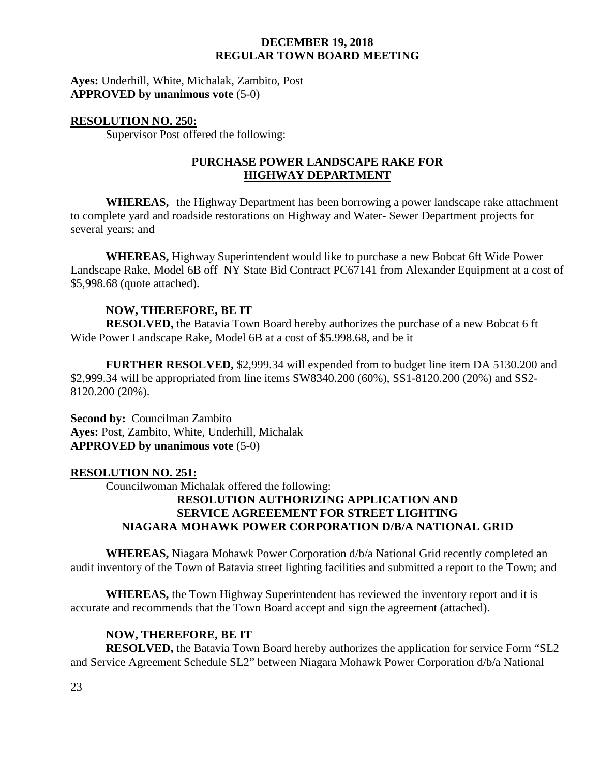**Ayes:** Underhill, White, Michalak, Zambito, Post **APPROVED by unanimous vote** (5-0)

## **RESOLUTION NO. 250:**

Supervisor Post offered the following:

# **PURCHASE POWER LANDSCAPE RAKE FOR HIGHWAY DEPARTMENT**

**WHEREAS,** the Highway Department has been borrowing a power landscape rake attachment to complete yard and roadside restorations on Highway and Water- Sewer Department projects for several years; and

**WHEREAS,** Highway Superintendent would like to purchase a new Bobcat 6ft Wide Power Landscape Rake, Model 6B off NY State Bid Contract PC67141 from Alexander Equipment at a cost of \$5,998.68 (quote attached).

# **NOW, THEREFORE, BE IT**

**RESOLVED,** the Batavia Town Board hereby authorizes the purchase of a new Bobcat 6 ft Wide Power Landscape Rake, Model 6B at a cost of \$5.998.68, and be it

**FURTHER RESOLVED,** \$2,999.34 will expended from to budget line item DA 5130.200 and \$2,999.34 will be appropriated from line items SW8340.200 (60%), SS1-8120.200 (20%) and SS2- 8120.200 (20%).

**Second by:** Councilman Zambito **Ayes:** Post, Zambito, White, Underhill, Michalak **APPROVED by unanimous vote** (5-0)

## **RESOLUTION NO. 251:**

Councilwoman Michalak offered the following:

# **RESOLUTION AUTHORIZING APPLICATION AND SERVICE AGREEEMENT FOR STREET LIGHTING NIAGARA MOHAWK POWER CORPORATION D/B/A NATIONAL GRID**

**WHEREAS,** Niagara Mohawk Power Corporation d/b/a National Grid recently completed an audit inventory of the Town of Batavia street lighting facilities and submitted a report to the Town; and

**WHEREAS,** the Town Highway Superintendent has reviewed the inventory report and it is accurate and recommends that the Town Board accept and sign the agreement (attached).

## **NOW, THEREFORE, BE IT**

**RESOLVED,** the Batavia Town Board hereby authorizes the application for service Form "SL2 and Service Agreement Schedule SL2" between Niagara Mohawk Power Corporation d/b/a National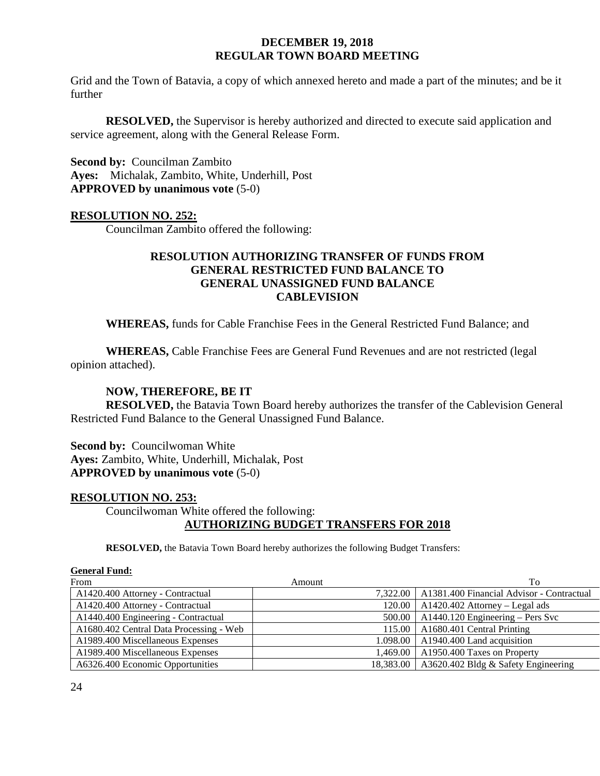Grid and the Town of Batavia, a copy of which annexed hereto and made a part of the minutes; and be it further

**RESOLVED,** the Supervisor is hereby authorized and directed to execute said application and service agreement, along with the General Release Form.

**Second by:** Councilman Zambito **Ayes:** Michalak, Zambito, White, Underhill, Post **APPROVED by unanimous vote** (5-0)

# **RESOLUTION NO. 252:**

Councilman Zambito offered the following:

# **RESOLUTION AUTHORIZING TRANSFER OF FUNDS FROM GENERAL RESTRICTED FUND BALANCE TO GENERAL UNASSIGNED FUND BALANCE CABLEVISION**

**WHEREAS,** funds for Cable Franchise Fees in the General Restricted Fund Balance; and

**WHEREAS,** Cable Franchise Fees are General Fund Revenues and are not restricted (legal opinion attached).

# **NOW, THEREFORE, BE IT**

**RESOLVED,** the Batavia Town Board hereby authorizes the transfer of the Cablevision General Restricted Fund Balance to the General Unassigned Fund Balance.

**Second by: Councilwoman White Ayes:** Zambito, White, Underhill, Michalak, Post **APPROVED by unanimous vote** (5-0)

## **RESOLUTION NO. 253:**

Councilwoman White offered the following: **AUTHORIZING BUDGET TRANSFERS FOR 2018**

**RESOLVED,** the Batavia Town Board hereby authorizes the following Budget Transfers:

| From                                    | Amount | To                                                   |
|-----------------------------------------|--------|------------------------------------------------------|
| A1420.400 Attorney - Contractual        |        | 7,322.00   A1381.400 Financial Advisor - Contractual |
| A1420.400 Attorney - Contractual        |        | $120.00$   A1420.402 Attorney – Legal ads            |
| A1440.400 Engineering - Contractual     |        | $500.00$   A1440.120 Engineering – Pers Svc          |
| A1680.402 Central Data Processing - Web |        | 115.00   A1680.401 Central Printing                  |
| A1989.400 Miscellaneous Expenses        |        | 1.098.00   A1940.400 Land acquisition                |
| A1989.400 Miscellaneous Expenses        |        | 1,469.00   A1950.400 Taxes on Property               |
| A6326.400 Economic Opportunities        |        | 18,383.00   A3620.402 Bldg & Safety Engineering      |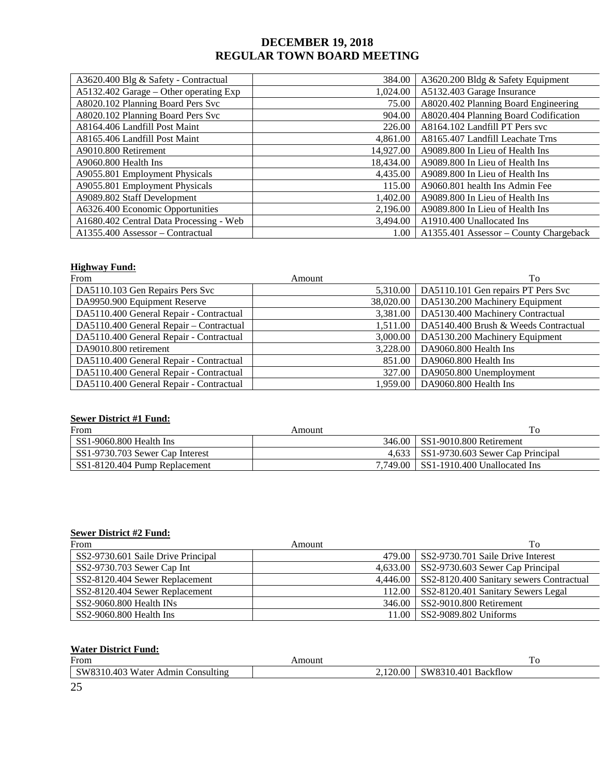| A3620.400 Blg & Safety - Contractual    | 384.00                                       | A3620.200 Bldg & Safety Equipment      |  |
|-----------------------------------------|----------------------------------------------|----------------------------------------|--|
| A5132.402 Garage – Other operating Exp  | 1,024.00                                     | A5132.403 Garage Insurance             |  |
| A8020.102 Planning Board Pers Svc       | 75.00                                        | A8020.402 Planning Board Engineering   |  |
| A8020.102 Planning Board Pers Svc       | 904.00                                       | A8020.404 Planning Board Codification  |  |
| A8164.406 Landfill Post Maint           | 226.00                                       | A8164.102 Landfill PT Pers svc         |  |
| A8165.406 Landfill Post Maint           | 4,861.00                                     | A8165.407 Landfill Leachate Trns       |  |
| A9010.800 Retirement                    | 14,927.00                                    | A9089.800 In Lieu of Health Ins        |  |
| A9060.800 Health Ins                    | A9089.800 In Lieu of Health Ins<br>18,434.00 |                                        |  |
| A9055.801 Employment Physicals          | 4,435.00                                     | A9089.800 In Lieu of Health Ins        |  |
| A9055.801 Employment Physicals          | 115.00                                       | A9060.801 health Ins Admin Fee         |  |
| A9089.802 Staff Development             | 1,402.00                                     | A9089.800 In Lieu of Health Ins        |  |
| A6326.400 Economic Opportunities        | 2,196.00                                     | A9089.800 In Lieu of Health Ins        |  |
| A1680.402 Central Data Processing - Web | 3,494.00                                     | A1910.400 Unallocated Ins              |  |
| A1355.400 Assessor - Contractual        | 1.00                                         | A1355.401 Assessor – County Chargeback |  |

#### **Highway Fund:**

| From                                    | Amount    | To                                   |
|-----------------------------------------|-----------|--------------------------------------|
| DA5110.103 Gen Repairs Pers Svc         | 5.310.00  | DA5110.101 Gen repairs PT Pers Svc   |
| DA9950.900 Equipment Reserve            | 38,020.00 | DA5130.200 Machinery Equipment       |
| DA5110.400 General Repair - Contractual | 3,381.00  | DA5130.400 Machinery Contractual     |
| DA5110.400 General Repair - Contractual | 1,511.00  | DA5140.400 Brush & Weeds Contractual |
| DA5110.400 General Repair - Contractual | 3,000.00  | DA5130.200 Machinery Equipment       |
| DA9010.800 retirement                   | 3,228.00  | DA9060.800 Health Ins                |
| DA5110.400 General Repair - Contractual | 851.00    | DA9060.800 Health Ins                |
| DA5110.400 General Repair - Contractual | 327.00    | DA9050.800 Unemployment              |
| DA5110.400 General Repair - Contractual | 1.959.00  | DA9060.800 Health Ins                |

#### **Sewer District #1 Fund:**

| From                            | Amount | IΟ                                       |
|---------------------------------|--------|------------------------------------------|
| ISS1-9060.800 Health Ins        |        | 346.00 SS1-9010.800 Retirement           |
| SS1-9730.703 Sewer Cap Interest |        | 4,633   SS1-9730.603 Sewer Cap Principal |
| SS1-8120.404 Pump Replacement   |        | 7.749.00 SS1-1910.400 Unallocated Ins    |

#### **Sewer District #2 Fund:**

| From                               | Amount | To                                                |
|------------------------------------|--------|---------------------------------------------------|
| SS2-9730.601 Saile Drive Principal |        | 479.00 SS2-9730.701 Saile Drive Interest          |
| SS2-9730.703 Sewer Cap Int         |        | 4,633.00   SS2-9730.603 Sewer Cap Principal       |
| SS2-8120.404 Sewer Replacement     |        | 4,446.00 SS2-8120.400 Sanitary sewers Contractual |
| SS2-8120.404 Sewer Replacement     |        | 112.00 SS2-8120.401 Sanitary Sewers Legal         |
| $SS2-9060.800$ Health INs          |        | 346.00 SS2-9010.800 Retirement                    |
| SS2-9060.800 Health Ins            |        | 11.00 SS2-9089.802 Uniforms                       |

# **Water District Fund:**

| From                              | Amount   | 10                  |
|-----------------------------------|----------|---------------------|
| SW8310.403 Water Admin Consulting | 2.120.00 | SW8310.401 Backflow |
| $\Omega$<br>ت                     |          |                     |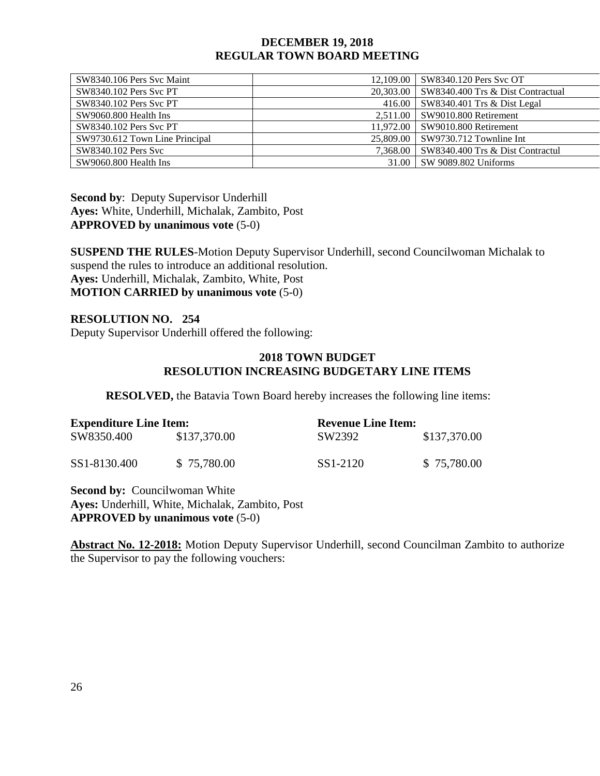| SW8340.106 Pers Syc Maint      | 12.109.00 SW8340.120 Pers Svc OT              |
|--------------------------------|-----------------------------------------------|
| <b>SW8340.102 Pers Svc PT</b>  | 20,303.00   SW8340.400 Trs & Dist Contractual |
| SW8340.102 Pers Svc PT         | 416.00   SW8340.401 Trs & Dist Legal          |
| SW9060.800 Health Ins          | 2.511.00 SW9010.800 Retirement                |
| SW8340.102 Pers Syc PT         | 11.972.00 SW9010.800 Retirement               |
| SW9730.612 Town Line Principal | 25,809.00   SW9730.712 Townline Int           |
| SW8340.102 Pers Svc            | 7.368.00 SW8340.400 Trs & Dist Contractul     |
| SW9060.800 Health Ins          | 31.00 SW 9089.802 Uniforms                    |

**Second by**: Deputy Supervisor Underhill **Ayes:** White, Underhill, Michalak, Zambito, Post **APPROVED by unanimous vote** (5-0)

**SUSPEND THE RULES**-Motion Deputy Supervisor Underhill, second Councilwoman Michalak to suspend the rules to introduce an additional resolution. **Ayes:** Underhill, Michalak, Zambito, White, Post **MOTION CARRIED by unanimous vote** (5-0)

## **RESOLUTION NO. 254**

Deputy Supervisor Underhill offered the following:

### **2018 TOWN BUDGET RESOLUTION INCREASING BUDGETARY LINE ITEMS**

**RESOLVED,** the Batavia Town Board hereby increases the following line items:

| <b>Expenditure Line Item:</b> |              | <b>Revenue Line Item:</b> |              |
|-------------------------------|--------------|---------------------------|--------------|
| SW8350.400                    | \$137,370.00 | SW2392                    | \$137,370.00 |
| SS1-8130.400                  | \$75,780.00  | SS1-2120                  | \$75,780.00  |

**Second by:** Councilwoman White **Ayes:** Underhill, White, Michalak, Zambito, Post **APPROVED by unanimous vote** (5-0)

**Abstract No. 12-2018:** Motion Deputy Supervisor Underhill, second Councilman Zambito to authorize the Supervisor to pay the following vouchers: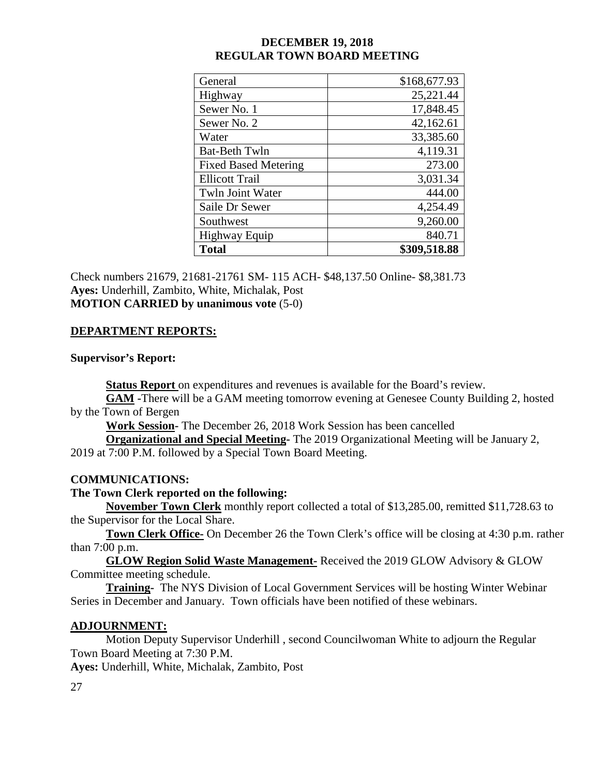| <b>Total</b>                | \$309,518.88 |
|-----------------------------|--------------|
| <b>Highway Equip</b>        | 840.71       |
| Southwest                   | 9,260.00     |
| Saile Dr Sewer              | 4,254.49     |
| Twln Joint Water            | 444.00       |
| <b>Ellicott Trail</b>       | 3,031.34     |
| <b>Fixed Based Metering</b> | 273.00       |
| <b>Bat-Beth Twln</b>        | 4,119.31     |
| Water                       | 33,385.60    |
| Sewer No. 2                 | 42,162.61    |
| Sewer No. 1                 | 17,848.45    |
| Highway                     | 25,221.44    |
| General                     | \$168,677.93 |

Check numbers 21679, 21681-21761 SM- 115 ACH- \$48,137.50 Online- \$8,381.73 **Ayes:** Underhill, Zambito, White, Michalak, Post **MOTION CARRIED by unanimous vote** (5-0)

# **DEPARTMENT REPORTS:**

# **Supervisor's Report:**

**Status Report** on expenditures and revenues is available for the Board's review.

**GAM -**There will be a GAM meeting tomorrow evening at Genesee County Building 2, hosted by the Town of Bergen

**Work Session-** The December 26, 2018 Work Session has been cancelled

**Organizational and Special Meeting-** The 2019 Organizational Meeting will be January 2, 2019 at 7:00 P.M. followed by a Special Town Board Meeting.

# **COMMUNICATIONS:**

# **The Town Clerk reported on the following:**

**November Town Clerk** monthly report collected a total of \$13,285.00, remitted \$11,728.63 to the Supervisor for the Local Share.

**Town Clerk Office-** On December 26 the Town Clerk's office will be closing at 4:30 p.m. rather than 7:00 p.m.

**GLOW Region Solid Waste Management-** Received the 2019 GLOW Advisory & GLOW Committee meeting schedule.

**Training-** The NYS Division of Local Government Services will be hosting Winter Webinar Series in December and January. Town officials have been notified of these webinars.

# **ADJOURNMENT:**

Motion Deputy Supervisor Underhill , second Councilwoman White to adjourn the Regular Town Board Meeting at 7:30 P.M.

**Ayes:** Underhill, White, Michalak, Zambito, Post

27